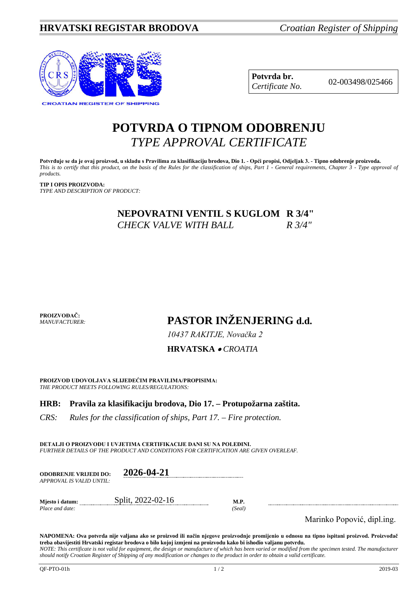

**Potvrda br.** 02-003498/025466 *Certificate No.*

# **POTVRDA O TIPNOM ODOBRENJU** *TYPE APPROVAL CERTIFICATE*

**Potvrđuje se da je ovaj proizvod, u skladu s Pravilima za klasifikaciju brodova, Dio 1. - Opći propisi, Odjeljak 3. - Tipno odobrenje proizvoda.** *This is to certify that this product, on the basis of the Rules for the classification of ships, Part 1 - General requirements, Chapter 3 - Type approval of products.*

**TIP I OPIS PROIZVODA:** *TYPE AND DESCRIPTION OF PRODUCT:*

> **NEPOVRATNI VENTIL S KUGLOM R 3/4"**  *CHECK VALVE WITH BALL R 3/4"*

**PROIZVOĐAČ:** *MANUFACTURER:*

**PASTOR INŽENJERING d.d.**

*10437 RAKITJE, Novačka 2*

**HRVATSKA** • *CROATIA*

**PROIZVOD UDOVOLJAVA SLIJEDEĆIM PRAVILIMA/PROPISIMA:** *THE PRODUCT MEETS FOLLOWING RULES/REGULATIONS:*

**HRB: Pravila za klasifikaciju brodova, Dio 17. – Protupožarna zaštita.** 

*CRS: Rules for the classification of ships, Part 17. – Fire protection.*

**DETALJI O PROIZVODU I UVJETIMA CERTIFIKACIJE DANI SU NA POLEĐINI.** *FURTHER DETAILS OF THE PRODUCT AND CONDITIONS FOR CERTIFICATION ARE GIVEN OVERLEAF.*

| <b>ODOBRENJE VRIJEDI DO:</b><br>APPROVAL IS VALID UNTIL: | 2026-04-21        |                       |
|----------------------------------------------------------|-------------------|-----------------------|
| Miesto i datum:<br>Place and date:                       | Split, 2022-02-16 | <b>M.P.</b><br>(Seal) |

Marinko Popović, dipl.ing.

**NAPOMENA: Ova potvrda nije valjana ako se proizvod ili način njegove proizvodnje promijenio u odnosu na tipno ispitani proizvod. Proizvođač treba obavijestiti Hrvatski registar brodova o bilo kojoj izmjeni na proizvodu kako bi ishodio valjanu potvrdu.** *NOTE: This certificate is not valid for equipment, the design or manufacture of which has been varied or modified from the specimen tested. The manufacturer* 

*should notify Croatian Register of Shipping of any modification or changes to the product in order to obtain a valid certificate.*